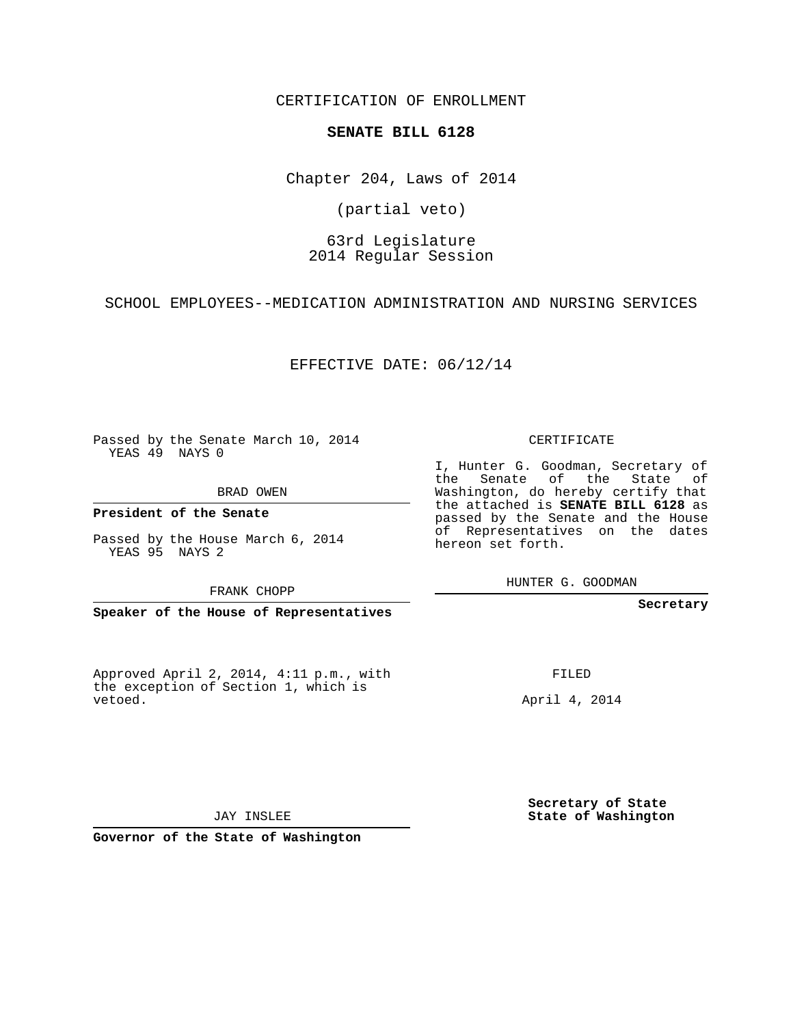CERTIFICATION OF ENROLLMENT

### **SENATE BILL 6128**

Chapter 204, Laws of 2014

(partial veto)

### 63rd Legislature 2014 Regular Session

SCHOOL EMPLOYEES--MEDICATION ADMINISTRATION AND NURSING SERVICES

EFFECTIVE DATE: 06/12/14

Passed by the Senate March 10, 2014 YEAS 49 NAYS 0

BRAD OWEN

**President of the Senate**

Passed by the House March 6, 2014 YEAS 95 NAYS 2

FRANK CHOPP

**Speaker of the House of Representatives**

Approved April 2, 2014, 4:11 p.m., with the exception of Section 1, which is vetoed.

CERTIFICATE

I, Hunter G. Goodman, Secretary of the Senate of the State of Washington, do hereby certify that the attached is **SENATE BILL 6128** as passed by the Senate and the House of Representatives on the dates hereon set forth.

HUNTER G. GOODMAN

**Secretary**

FILED

April 4, 2014

**Secretary of State State of Washington**

JAY INSLEE

**Governor of the State of Washington**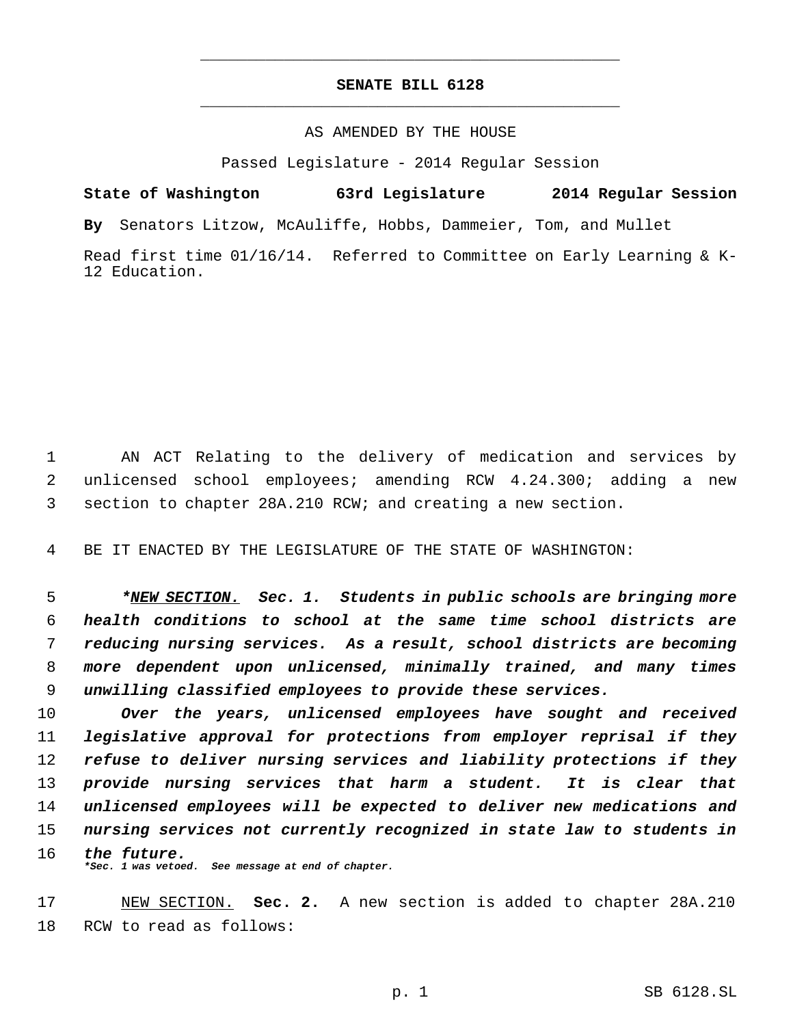## **SENATE BILL 6128** \_\_\_\_\_\_\_\_\_\_\_\_\_\_\_\_\_\_\_\_\_\_\_\_\_\_\_\_\_\_\_\_\_\_\_\_\_\_\_\_\_\_\_\_\_

\_\_\_\_\_\_\_\_\_\_\_\_\_\_\_\_\_\_\_\_\_\_\_\_\_\_\_\_\_\_\_\_\_\_\_\_\_\_\_\_\_\_\_\_\_

### AS AMENDED BY THE HOUSE

Passed Legislature - 2014 Regular Session

# **State of Washington 63rd Legislature 2014 Regular Session**

**By** Senators Litzow, McAuliffe, Hobbs, Dammeier, Tom, and Mullet

Read first time 01/16/14. Referred to Committee on Early Learning & K-12 Education.

 AN ACT Relating to the delivery of medication and services by unlicensed school employees; amending RCW 4.24.300; adding a new section to chapter 28A.210 RCW; and creating a new section.

BE IT ENACTED BY THE LEGISLATURE OF THE STATE OF WASHINGTON:

 *\*NEW SECTION. Sec. 1. Students in public schools are bringing more health conditions to school at the same time school districts are reducing nursing services. As a result, school districts are becoming more dependent upon unlicensed, minimally trained, and many times unwilling classified employees to provide these services.*

 *Over the years, unlicensed employees have sought and received legislative approval for protections from employer reprisal if they refuse to deliver nursing services and liability protections if they provide nursing services that harm a student. It is clear that unlicensed employees will be expected to deliver new medications and nursing services not currently recognized in state law to students in the future. \*Sec. 1 was vetoed. See message at end of chapter.*

 NEW SECTION. **Sec. 2.** A new section is added to chapter 28A.210 RCW to read as follows: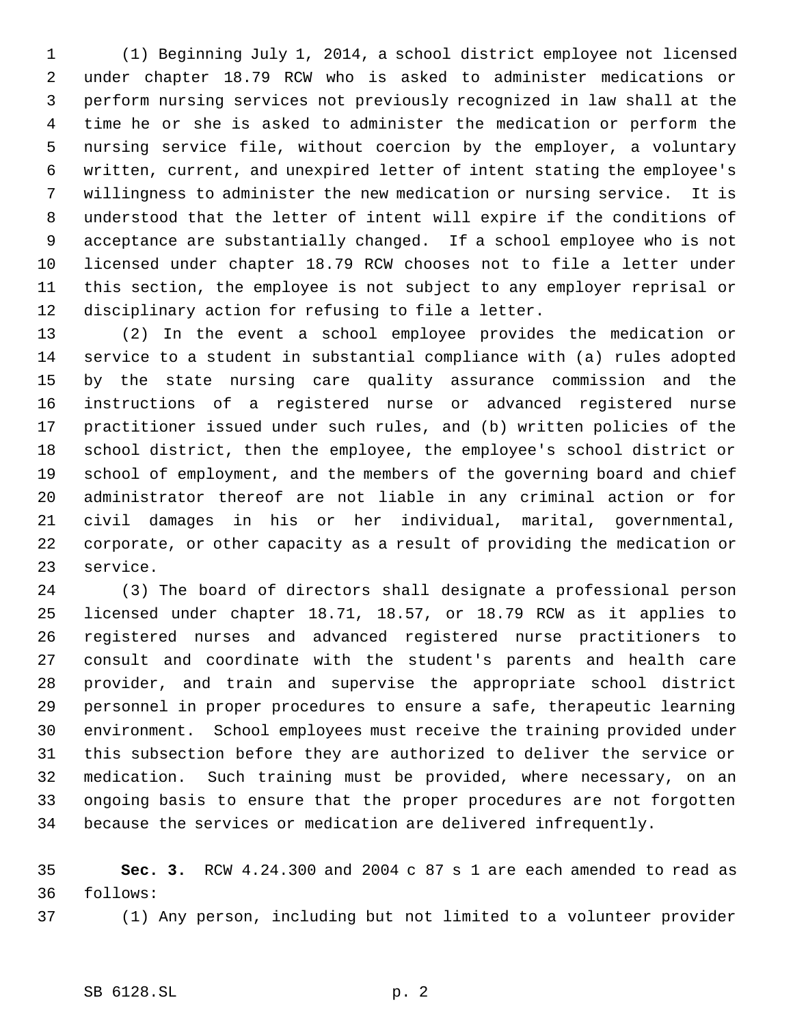(1) Beginning July 1, 2014, a school district employee not licensed under chapter 18.79 RCW who is asked to administer medications or perform nursing services not previously recognized in law shall at the time he or she is asked to administer the medication or perform the nursing service file, without coercion by the employer, a voluntary written, current, and unexpired letter of intent stating the employee's willingness to administer the new medication or nursing service. It is understood that the letter of intent will expire if the conditions of acceptance are substantially changed. If a school employee who is not licensed under chapter 18.79 RCW chooses not to file a letter under this section, the employee is not subject to any employer reprisal or disciplinary action for refusing to file a letter.

 (2) In the event a school employee provides the medication or service to a student in substantial compliance with (a) rules adopted by the state nursing care quality assurance commission and the instructions of a registered nurse or advanced registered nurse practitioner issued under such rules, and (b) written policies of the school district, then the employee, the employee's school district or school of employment, and the members of the governing board and chief administrator thereof are not liable in any criminal action or for civil damages in his or her individual, marital, governmental, corporate, or other capacity as a result of providing the medication or service.

 (3) The board of directors shall designate a professional person licensed under chapter 18.71, 18.57, or 18.79 RCW as it applies to registered nurses and advanced registered nurse practitioners to consult and coordinate with the student's parents and health care provider, and train and supervise the appropriate school district personnel in proper procedures to ensure a safe, therapeutic learning environment. School employees must receive the training provided under this subsection before they are authorized to deliver the service or medication. Such training must be provided, where necessary, on an ongoing basis to ensure that the proper procedures are not forgotten because the services or medication are delivered infrequently.

 **Sec. 3.** RCW 4.24.300 and 2004 c 87 s 1 are each amended to read as follows:

(1) Any person, including but not limited to a volunteer provider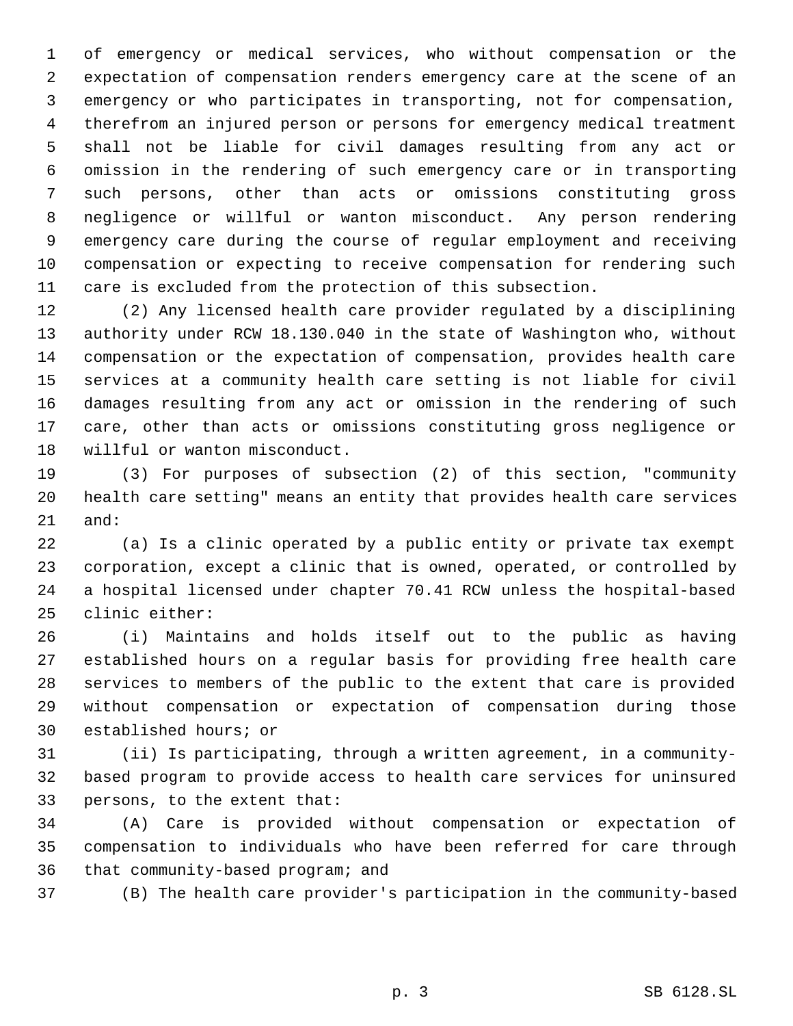of emergency or medical services, who without compensation or the expectation of compensation renders emergency care at the scene of an emergency or who participates in transporting, not for compensation, therefrom an injured person or persons for emergency medical treatment shall not be liable for civil damages resulting from any act or omission in the rendering of such emergency care or in transporting such persons, other than acts or omissions constituting gross negligence or willful or wanton misconduct. Any person rendering emergency care during the course of regular employment and receiving compensation or expecting to receive compensation for rendering such care is excluded from the protection of this subsection.

 (2) Any licensed health care provider regulated by a disciplining authority under RCW 18.130.040 in the state of Washington who, without compensation or the expectation of compensation, provides health care services at a community health care setting is not liable for civil damages resulting from any act or omission in the rendering of such care, other than acts or omissions constituting gross negligence or willful or wanton misconduct.

 (3) For purposes of subsection (2) of this section, "community health care setting" means an entity that provides health care services and:

 (a) Is a clinic operated by a public entity or private tax exempt corporation, except a clinic that is owned, operated, or controlled by a hospital licensed under chapter 70.41 RCW unless the hospital-based clinic either:

 (i) Maintains and holds itself out to the public as having established hours on a regular basis for providing free health care services to members of the public to the extent that care is provided without compensation or expectation of compensation during those established hours; or

 (ii) Is participating, through a written agreement, in a community- based program to provide access to health care services for uninsured persons, to the extent that:

 (A) Care is provided without compensation or expectation of compensation to individuals who have been referred for care through that community-based program; and

(B) The health care provider's participation in the community-based